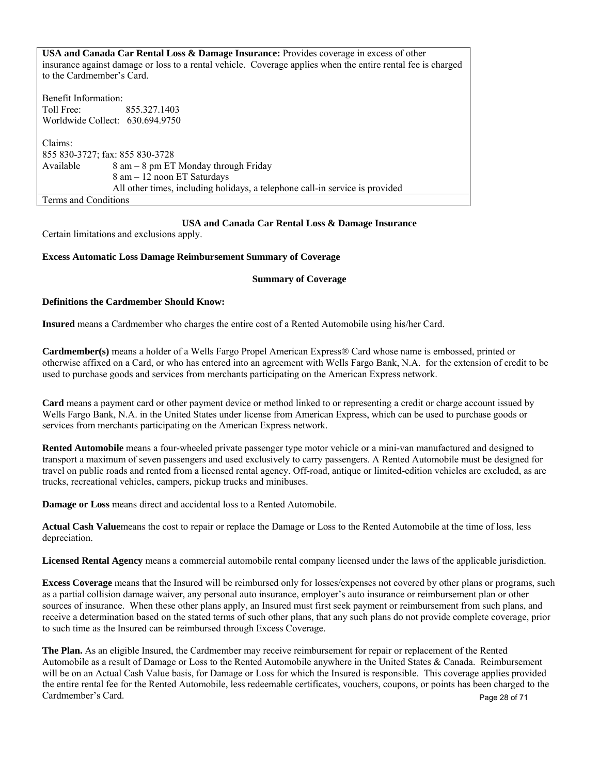**USA and Canada Car Rental Loss & Damage Insurance:** Provides coverage in excess of other insurance against damage or loss to a rental vehicle. Coverage applies when the entire rental fee is charged to the Cardmember's Card. Benefit Information: Toll Free: 855.327.1403 Worldwide Collect: 630.694.9750 Claims: 855 830-3727; fax: 855 830-3728 Available  $8 \text{ am} - 8 \text{ pm} \text{ ET } \text{ Monday through Friday}$ 8 am – 12 noon ET Saturdays All other times, including holidays, a telephone call-in service is provided Terms and Conditions

## **USA and Canada Car Rental Loss & Damage Insurance**

Certain limitations and exclusions apply.

## **Excess Automatic Loss Damage Reimbursement Summary of Coverage**

#### **Summary of Coverage**

## **Definitions the Cardmember Should Know:**

**Insured** means a Cardmember who charges the entire cost of a Rented Automobile using his/her Card.

**Cardmember(s)** means a holder of a Wells Fargo Propel American Express® Card whose name is embossed, printed or otherwise affixed on a Card, or who has entered into an agreement with Wells Fargo Bank, N.A. for the extension of credit to be used to purchase goods and services from merchants participating on the American Express network.

**Card** means a payment card or other payment device or method linked to or representing a credit or charge account issued by Wells Fargo Bank, N.A. in the United States under license from American Express, which can be used to purchase goods or services from merchants participating on the American Express network.

**Rented Automobile** means a four-wheeled private passenger type motor vehicle or a mini-van manufactured and designed to transport a maximum of seven passengers and used exclusively to carry passengers. A Rented Automobile must be designed for travel on public roads and rented from a licensed rental agency. Off-road, antique or limited-edition vehicles are excluded, as are trucks, recreational vehicles, campers, pickup trucks and minibuses.

**Damage or Loss** means direct and accidental loss to a Rented Automobile.

**Actual Cash Value**means the cost to repair or replace the Damage or Loss to the Rented Automobile at the time of loss, less depreciation.

**Licensed Rental Agency** means a commercial automobile rental company licensed under the laws of the applicable jurisdiction.

**Excess Coverage** means that the Insured will be reimbursed only for losses/expenses not covered by other plans or programs, such as a partial collision damage waiver, any personal auto insurance, employer's auto insurance or reimbursement plan or other sources of insurance. When these other plans apply, an Insured must first seek payment or reimbursement from such plans, and receive a determination based on the stated terms of such other plans, that any such plans do not provide complete coverage, prior to such time as the Insured can be reimbursed through Excess Coverage.

**The Plan.** As an eligible Insured, the Cardmember may receive reimbursement for repair or replacement of the Rented Automobile as a result of Damage or Loss to the Rented Automobile anywhere in the United States & Canada. Reimbursement will be on an Actual Cash Value basis, for Damage or Loss for which the Insured is responsible. This coverage applies provided the entire rental fee for the Rented Automobile, less redeemable certificates, vouchers, coupons, or points has been charged to the Cardmember's Card. Page 28 of 71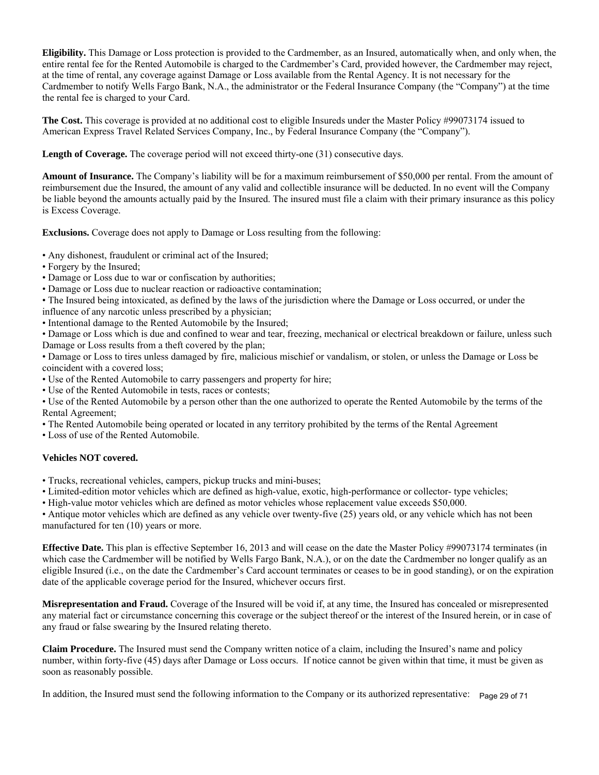**Eligibility.** This Damage or Loss protection is provided to the Cardmember, as an Insured, automatically when, and only when, the entire rental fee for the Rented Automobile is charged to the Cardmember's Card, provided however, the Cardmember may reject, at the time of rental, any coverage against Damage or Loss available from the Rental Agency. It is not necessary for the Cardmember to notify Wells Fargo Bank, N.A., the administrator or the Federal Insurance Company (the "Company") at the time the rental fee is charged to your Card.

**The Cost.** This coverage is provided at no additional cost to eligible Insureds under the Master Policy #99073174 issued to American Express Travel Related Services Company, Inc., by Federal Insurance Company (the "Company").

**Length of Coverage.** The coverage period will not exceed thirty-one (31) consecutive days.

**Amount of Insurance.** The Company's liability will be for a maximum reimbursement of \$50,000 per rental. From the amount of reimbursement due the Insured, the amount of any valid and collectible insurance will be deducted. In no event will the Company be liable beyond the amounts actually paid by the Insured. The insured must file a claim with their primary insurance as this policy is Excess Coverage.

**Exclusions.** Coverage does not apply to Damage or Loss resulting from the following:

• Any dishonest, fraudulent or criminal act of the Insured;

- Forgery by the Insured;
- Damage or Loss due to war or confiscation by authorities;
- Damage or Loss due to nuclear reaction or radioactive contamination;
- The Insured being intoxicated, as defined by the laws of the jurisdiction where the Damage or Loss occurred, or under the influence of any narcotic unless prescribed by a physician;
- Intentional damage to the Rented Automobile by the Insured;

• Damage or Loss which is due and confined to wear and tear, freezing, mechanical or electrical breakdown or failure, unless such Damage or Loss results from a theft covered by the plan;

- Damage or Loss to tires unless damaged by fire, malicious mischief or vandalism, or stolen, or unless the Damage or Loss be coincident with a covered loss;
- Use of the Rented Automobile to carry passengers and property for hire;
- Use of the Rented Automobile in tests, races or contests;
- Use of the Rented Automobile by a person other than the one authorized to operate the Rented Automobile by the terms of the Rental Agreement;
- The Rented Automobile being operated or located in any territory prohibited by the terms of the Rental Agreement

• Loss of use of the Rented Automobile.

# **Vehicles NOT covered.**

- Trucks, recreational vehicles, campers, pickup trucks and mini-buses;
- Limited-edition motor vehicles which are defined as high-value, exotic, high-performance or collector- type vehicles;
- High-value motor vehicles which are defined as motor vehicles whose replacement value exceeds \$50,000.

• Antique motor vehicles which are defined as any vehicle over twenty-five (25) years old, or any vehicle which has not been manufactured for ten (10) years or more.

**Effective Date.** This plan is effective September 16, 2013 and will cease on the date the Master Policy #99073174 terminates (in which case the Cardmember will be notified by Wells Fargo Bank, N.A.), or on the date the Cardmember no longer qualify as an eligible Insured (i.e., on the date the Cardmember's Card account terminates or ceases to be in good standing), or on the expiration date of the applicable coverage period for the Insured, whichever occurs first.

**Misrepresentation and Fraud.** Coverage of the Insured will be void if, at any time, the Insured has concealed or misrepresented any material fact or circumstance concerning this coverage or the subject thereof or the interest of the Insured herein, or in case of any fraud or false swearing by the Insured relating thereto.

**Claim Procedure.** The Insured must send the Company written notice of a claim, including the Insured's name and policy number, within forty-five (45) days after Damage or Loss occurs. If notice cannot be given within that time, it must be given as soon as reasonably possible.

In addition, the Insured must send the following information to the Company or its authorized representative: Page 29 of 71